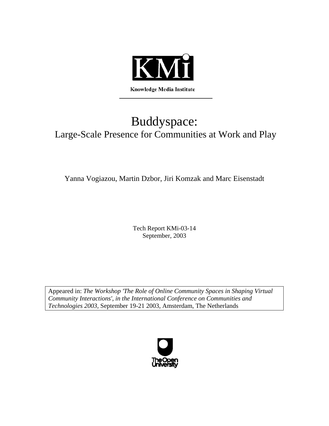

# Buddyspace: Large-Scale Presence for Communities at Work and Play

Yanna Vogiazou, Martin Dzbor, Jiri Komzak and Marc Eisenstadt

Tech Report KMi-03-14 September, 2003

Appeared in: *The Workshop 'The Role of Online Community Spaces in Shaping Virtual Community Interactions', in the International Conference on Communities and Technologies 2003,* September 19-21 2003, Amsterdam, The Netherlands

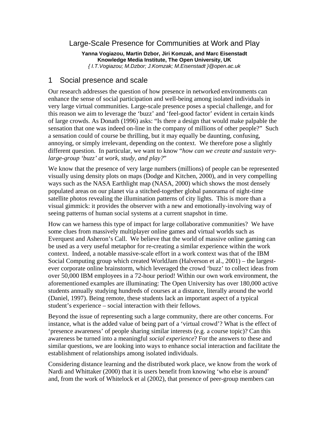## Large-Scale Presence for Communities at Work and Play

**Yanna Vogiazou, Martin Dzbor, Jiri Komzak, and Marc Eisenstadt Knowledge Media Institute, The Open University, UK**  *{ I.T.Vogiazou; M.Dzbor; J.Komzak; M.Eisenstadt }@open.ac.uk* 

#### 1 Social presence and scale

Our research addresses the question of how presence in networked environments can enhance the sense of social participation and well-being among isolated individuals in very large virtual communities. Large-scale presence poses a special challenge, and for this reason we aim to leverage the 'buzz' and 'feel-good factor' evident in certain kinds of large crowds. As Donath (1996) asks: "Is there a design that would make palpable the sensation that one was indeed on-line in the company of millions of other people?" Such a sensation could of course be thrilling, but it may equally be daunting, confusing, annoying, or simply irrelevant, depending on the context. We therefore pose a slightly different question. In particular, we want to know "*how can we create and sustain verylarge-group 'buzz' at work, study, and play?*"

We know that the presence of very large numbers (millions) of people can be represented visually using density plots on maps (Dodge and Kitchen, 2000), and in very compelling ways such as the NASA Earthlight map (NASA, 2000) which shows the most densely populated areas on our planet via a stitched-together global panorama of night-time satellite photos revealing the illumination patterns of city lights. This is more than a visual gimmick: it provides the observer with a new and emotionally-involving way of seeing patterns of human social systems at a current snapshot in time.

How can we harness this type of impact for large collaborative communities? We have some clues from massively multiplayer online games and virtual worlds such as Everquest and Asheron's Call. We believe that the world of massive online gaming can be used as a very useful metaphor for re-creating a similar experience within the work context. Indeed, a notable massive-scale effort in a work context was that of the IBM Social Computing group which created WorldJam (Halverson et al., 2001) – the largestever corporate online brainstorm, which leveraged the crowd 'buzz' to collect ideas from over 50,000 IBM employees in a 72-hour period! Within our own work environment, the aforementioned examples are illuminating: The Open University has over 180,000 active students annually studying hundreds of courses at a distance, literally around the world (Daniel, 1997). Being remote, these students lack an important aspect of a typical student's experience – social interaction with their fellows.

Beyond the issue of representing such a large community, there are other concerns. For instance, what is the added value of being part of a 'virtual crowd'? What is the effect of 'presence awareness' of people sharing similar interests (e.g. a course topic)? Can this awareness be turned into a meaningful *social experience*? For the answers to these and similar questions, we are looking into ways to enhance social interaction and facilitate the establishment of relationships among isolated individuals.

Considering distance learning and the distributed work place, we know from the work of Nardi and Whittaker (2000) that it is users benefit from knowing 'who else is around' and, from the work of Whitelock et al (2002), that presence of peer-group members can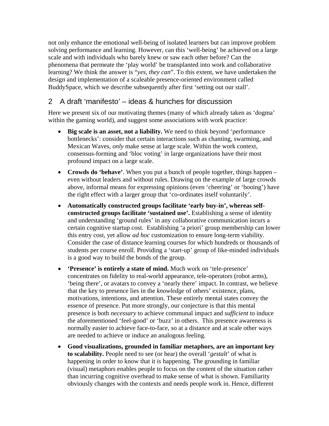not only enhance the emotional well-being of isolated learners but can improve problem solving performance and learning. However, can this 'well-being' be achieved on a large scale and with individuals who barely knew or saw each other before? Can the phenomena that permeate the 'play world' be transplanted into work and collaborative learning? We think the answer is "*yes, they can*". To this extent, we have undertaken the design and implementation of a scaleable presence-oriented environment called BuddySpace, which we describe subsequently after first 'setting out our stall'.

## 2 A draft 'manifesto' – ideas & hunches for discussion

Here we present six of our motivating themes (many of which already taken as 'dogma' within the gaming world), and suggest some associations with work practice:

- **Big scale is an asset, not a liability.** We need to think beyond 'performance' bottlenecks': consider that certain interactions such as chanting, swarming, and Mexican Waves, *only* make sense at large scale. Within the work context, consensus-forming and 'bloc voting' in large organizations have their most profound impact on a large scale.
- **Crowds do 'behave'**. When you put a bunch of people together, things happen even without leaders and without rules. Drawing on the example of large crowds above, informal means for expressing opinions (even 'cheering' or 'booing') have the right effect with a larger group that 'co-ordinates itself voluntarily'.
- **Automatically constructed groups facilitate 'early buy-in', whereas selfconstructed groups facilitate 'sustained use'.** Establishing a sense of identity and understanding 'ground rules' in any collaborative communication incurs a certain cognitive startup cost. Establishing 'a priori' group membership can lower this entry cost, yet allow *ad hoc* customization to ensure long-term viability. Consider the case of distance learning courses for which hundreds or thousands of students per course enroll. Providing a 'start-up' group of like-minded individuals is a good way to build the bonds of the group.
- **'Presence' is entirely a state of mind.** Much work on 'tele-presence' concentrates on fidelity to real-world appearance, tele-operators (robot arms), 'being there', or avatars to convey a 'nearly there' impact. In contrast, we believe that the key to presence lies in the *knowledge* of others' existence, plans, motivations, intentions, and attention. These entirely mental states convey the essence of presence. Put more strongly, our conjecture is that this mental presence is both *necessary* to achieve communal impact and *sufficient* to induce the aforementioned 'feel-good' or 'buzz' in others. This presence awareness is normally easier to achieve face-to-face, so at a distance and at scale other ways are needed to achieve or induce an analogous feeling.
- **Good visualizations, grounded in familiar metaphors, are an important key to scalability.** People need to see (or hear) the overall '*gestalt*' of what is happening in order to know that it *is* happening. The grounding in familiar (visual) metaphors enables people to focus on the content of the situation rather than incurring cognitive overhead to make sense of what is shown. Familiarity obviously changes with the contexts and needs people work in. Hence, different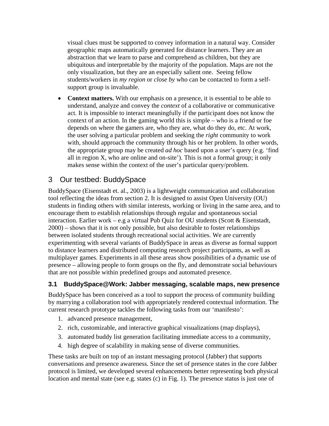visual clues must be supported to convey information in a natural way. Consider geographic maps automatically generated for distance learners. They are an abstraction that we learn to parse and comprehend as children, but they are ubiquitous and interpretable by the majority of the population. Maps are not the only visualization, but they are an especially salient one. Seeing fellow students/workers in *my region* or *close by* who can be contacted to form a selfsupport group is invaluable.

• **Context matters.** With our emphasis on a presence, it is essential to be able to understand, analyze and convey the *context* of a collaborative or communicative act. It is impossible to interact meaningfully if the participant does not know the context of an action. In the gaming world this is simple – who is a friend or foe depends on where the gamers are, who they are, what do they do, etc. At work, the user solving a particular problem and seeking the *right* community to work with, should approach the community through his or her problem. In other words, the appropriate group may be created *ad hoc* based upon a user's query (e.g. 'find all in region  $X$ , who are online and on-site'). This is not a formal group; it only makes sense within the context of the user's particular query/problem.

## 3 Our testbed: BuddySpace

BuddySpace (Eisenstadt et. al., 2003) is a lightweight communication and collaboration tool reflecting the ideas from section 2. It is designed to assist Open University (OU) students in finding others with similar interests, working or living in the same area, and to encourage them to establish relationships through regular and spontaneous social interaction. Earlier work – e.g a virtual Pub Quiz for OU students (Scott  $\&$  Eisenstadt, 2000) – shows that it is not only possible, but also desirable to foster relationships between isolated students through recreational social activities. We are currently experimenting with several variants of BuddySpace in areas as diverse as formal support to distance learners and distributed computing research project participants, as well as multiplayer games. Experiments in all these areas show possibilities of a dynamic use of presence – allowing people to form groups on the fly, and demonstrate social behaviours that are not possible within predefined groups and automated presence.

#### **3.1 BuddySpace@Work: Jabber messaging, scalable maps, new presence**

BuddySpace has been conceived as a tool to support the process of community building by marrying a collaboration tool with appropriately rendered contextual information. The current research prototype tackles the following tasks from our 'manifesto':

- 1. advanced presence management,
- 2. rich, customizable, and interactive graphical visualizations (map displays),
- 3. automated buddy list generation facilitating immediate access to a community,
- 4. high degree of scalability in making sense of diverse communities.

These tasks are built on top of an instant messaging protocol (Jabber) that supports conversations and presence awareness. Since the set of presence states in the core Jabber protocol is limited, we developed several enhancements better representing both physical location and mental state (see e.g. states (c) in Fig. 1). The presence status is just one of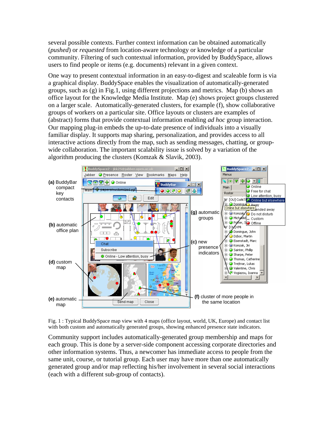several possible contexts. Further context information can be obtained automatically (*pushed*) or *requested* from location-aware technology or knowledge of a particular community. Filtering of such contextual information, provided by BuddySpace, allows users to find people or items (e.g. documents) relevant in a given context.

One way to present contextual information in an easy-to-digest and scaleable form is via a graphical display. BuddySpace enables the visualization of automatically-generated groups, such as  $(g)$  in Fig.1, using different projections and metrics. Map (b) shows an office layout for the Knowledge Media Institute. Map (e) shows project groups clustered on a larger scale. Automatically-generated clusters, for example (f), show collaborative groups of workers on a particular site. Office layouts or clusters are examples of (abstract) forms that provide contextual information enabling *ad hoc* group interaction. Our mapping plug-in embeds the up-to-date presence of individuals into a visually familiar display. It supports map sharing, personalization, and provides access to all interactive actions directly from the map, such as sending messages, chatting, or groupwide collaboration. The important scalability issue is solved by a variation of the algorithm producing the clusters (Komzak & Slavik, 2003).



Fig. 1 : Typical BuddySpace map view with 4 maps (office layout, world, UK, Europe) and contact list with both custom and automatically generated groups, showing enhanced presence state indicators.

Community support includes automatically-generated group membership and maps for each group. This is done by a server-side component accessing corporate directories and other information systems. Thus, a newcomer has immediate access to people from the same unit, course, or tutorial group. Each user may have more than one automatically generated group and/or map reflecting his/her involvement in several social interactions (each with a different sub-group of contacts).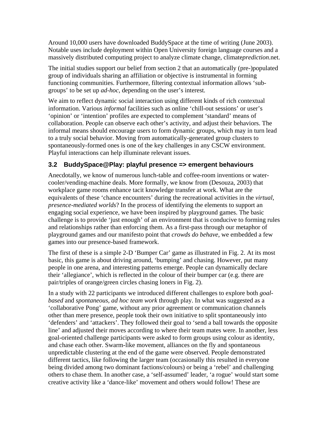Around 10,000 users have downloaded BuddySpace at the time of writing (June 2003). Notable uses include deployment within Open University foreign language courses and a massively distributed computing project to analyze climate change, climate*prediction*.net.

The initial studies support our belief from section 2 that an automatically (pre-)populated group of individuals sharing an affiliation or objective is instrumental in forming functioning communities. Furthermore, filtering contextual information allows 'subgroups' to be set up *ad-hoc,* depending on the user's interest*.*

We aim to reflect dynamic social interaction using different kinds of rich contextual information. Various *informal* facilities such as online 'chill-out sessions' or user's 'opinion' or 'intention' profiles are expected to complement 'standard' means of collaboration. People can observe each other's activity, and adjust their behaviors. The informal means should encourage users to form dynamic groups, which may in turn lead to a truly social behavior. Moving from automatically-generated group clusters to spontaneously-formed ones is one of the key challenges in any CSCW environment. Playful interactions can help illuminate relevant issues.

### **3.2 BuddySpace@Play: playful presence => emergent behaviours**

Anecdotally, we know of numerous lunch-table and coffee-room inventions or watercooler/vending-machine deals. More formally, we know from (Desouza, 2003) that workplace game rooms enhance tacit knowledge transfer at work. What are the equivalents of these 'chance encounters' during the recreational activities in the *virtual*, *presence-mediated worlds*? In the process of identifying the elements to support an engaging social experience, we have been inspired by playground games. The basic challenge is to provide 'just enough' of an environment that is conducive to forming rules and relationships rather than enforcing them. As a first-pass through our metaphor of playground games and our manifesto point that *crowds do behave*, we embedded a few games into our presence-based framework.

The first of these is a simple 2-D 'Bumper Car' game as illustrated in [Fig. 2.](#page-6-0) At its most basic, this game is about driving around, 'bumping' and chasing. However, put many people in one arena, and interesting patterns emerge. People can dynamically declare their 'allegiance', which is reflected in the colour of their bumper car (e.g. there are pair/triples of orange/green circles chasing loners in [Fig. 2\)](#page-6-0).

In a study with 22 participants we introduced different challenges to explore both *goalbased* and *spontaneous, ad hoc team work* through play. In what was suggested as a 'collaborative Pong' game, without any prior agreement or communication channels other than mere presence, people took their own initiative to split spontaneously into 'defenders' and 'attackers'. They followed their goal to 'send a ball towards the opposite line' and adjusted their moves according to where their team mates were. In another, less goal-oriented challenge participants were asked to form groups using colour as identity, and chase each other. Swarm-like movement, alliances on the fly and spontaneous unpredictable clustering at the end of the game were observed. People demonstrated different tactics, like following the larger team (occasionally this resulted in everyone being divided among two dominant factions/colours) or being a 'rebel' and challenging others to chase them. In another case, a 'self-assumed' leader, 'a rogue' would start some creative activity like a 'dance-like' movement and others would follow! These are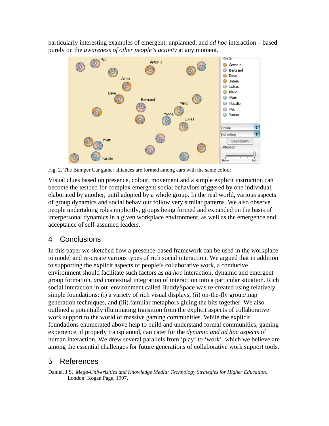particularly interesting examples of emergent, unplanned, and *ad hoc* interaction – based purely on the *awareness of other people's activity* at any moment.



<span id="page-6-0"></span>Fig. 2. The Bumper Car game: alliances are formed among cars with the same colour.

Visual clues based on presence, colour, movement and a simple explicit instruction can become the testbed for complex emergent social behaviors triggered by one individual, elaborated by another, until adopted by a whole group. In the real world, various aspects of group dynamics and social behaviour follow very similar patterns. We also observe people undertaking roles implicitly, groups being formed and expanded on the basis of interpersonal dynamics in a given workplace environment, as well as the emergence and acceptance of self-assumed leaders.

## 4 Conclusions

In this paper we sketched how a presence-based framework can be used in the workplace to model and re-create various types of rich social interaction. We argued that in addition to supporting the explicit aspects of people's collaborative work, a conducive environment should facilitate such factors as *ad hoc* interaction*,* dynamic and emergent group formation*, and* contextual integration of interaction into a particular situation. Rich social interaction in our environment called BuddySpace was re-created using relatively simple foundations: (i) a variety of rich visual displays, (ii) on-the-fly group/map generation techniques, and (iii) familiar metaphors gluing the bits together. We also outlined a potentially illuminating transition from the explicit aspects of collaborative work support to the world of massive gaming communities. While the explicit foundations enumerated above help to build and understand formal communities*,* gaming experience, if properly transplanted, can cater for the *dynamic and ad hoc aspects* of human interaction. We drew several parallels from 'play' to 'work', which we believe are among the essential challenges for future generations of collaborative work support tools.

# 5 References

Daniel, J.S. *Mega-Univerisities and Knowledge Media: Technology Strategies for Higher Education.* London: Kogan Page, 1997.